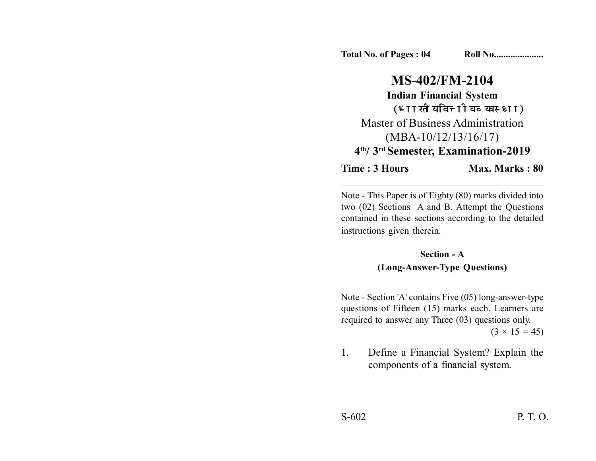**Total No. of Pages : 04 Roll No....................** 

## **MS-402/FM-2104 Indian Financial System** (भारतीय वित्तीय व्यवस्था) Master of Business Administration (MBA-10/12/13/16/17) **4th/ 3rd Semester, Examination-2019**

**Time : 3 Hours Max. Marks : 80** 

Note - This Paper is of Eighty (80) marks divided into two (02) Sections A and B. Attempt the Questions contained in these sections according to the detailed instructions given therein.

\_\_\_\_\_\_\_\_\_\_\_\_\_\_\_\_\_\_\_\_\_\_\_\_\_\_\_\_\_\_\_\_\_\_\_\_\_\_\_\_\_

**Section - A (Long-Answer-Type Questions)**

Note - Section 'A' contains Five (05) long-answer-type questions of Fifteen (15) marks each. Learners are required to answer any Three (03) questions only.  $(3 \times 15 = 45)$ 

1. Define a Financial System? Explain the components of a financial system.